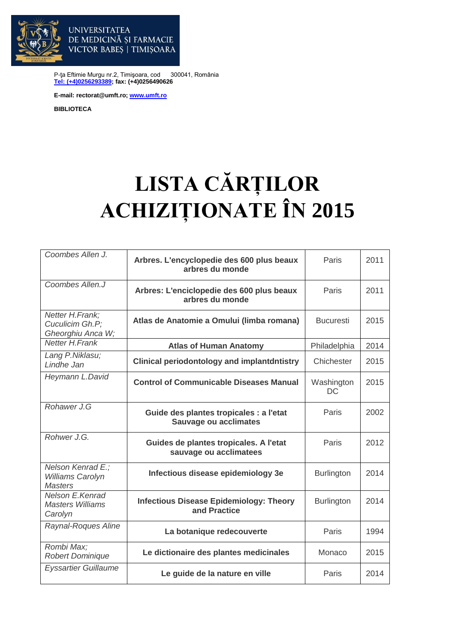

VICTOR BABES | TIMISOARA

DE MEDICINĂ ȘI FARMACIE

P-ţa Eftimie Murgu nr.2, Timişoara, cod 300041, România **[Tel: \(+4\)0256293389;](tel:(40)0256293389) fax: (+4)0256490626**

**E-mail: rectorat@umft.ro; [www.umft.ro](http://www.umft.ro/)**

**UNIVERSITATEA** 

**BIBLIOTECA**

## **LISTA CĂRȚILOR ACHIZIȚIONATE ÎN 2015**

| Coombes Allen J.                                               | Arbres. L'encyclopedie des 600 plus beaux<br>arbres du monde            | Paris             | 2011 |
|----------------------------------------------------------------|-------------------------------------------------------------------------|-------------------|------|
| Coombes Allen.J                                                | Arbres: L'enciclopedie des 600 plus beaux<br>arbres du monde            | Paris             | 2011 |
| Netter H.Frank;<br>Cuculicim Gh.P;<br>Gheorghiu Anca W;        | Atlas de Anatomie a Omului (limba romana)                               | <b>Bucuresti</b>  | 2015 |
| <b>Netter H.Frank</b>                                          | <b>Atlas of Human Anatomy</b>                                           | Philadelphia      | 2014 |
| Lang P.Niklasu;<br>Lindhe Jan                                  | <b>Clinical periodontology and implantdntistry</b>                      | Chichester        | 2015 |
| Heymann L.David                                                | <b>Control of Communicable Diseases Manual</b>                          | Washington<br>DC  | 2015 |
| Rohawer J.G                                                    | Guide des plantes tropicales : a l'etat<br><b>Sauvage ou acclimates</b> | Paris             | 2002 |
| Rohwer J.G.                                                    | Guides de plantes tropicales. A l'etat<br>sauvage ou acclimatees        | Paris             | 2012 |
| Nelson Kenrad E.;<br><b>Williams Carolyn</b><br><b>Masters</b> | Infectious disease epidemiology 3e                                      | <b>Burlington</b> | 2014 |
| Nelson E.Kenrad<br><b>Masters Williams</b><br>Carolyn          | <b>Infectious Disease Epidemiology: Theory</b><br>and Practice          | Burlington        | 2014 |
| Raynal-Roques Aline                                            | La botanique redecouverte                                               | Paris             | 1994 |
| Rombi Max;<br><b>Robert Dominique</b>                          | Le dictionaire des plantes medicinales                                  | Monaco            | 2015 |
| <b>Eyssartier Guillaume</b>                                    | Le guide de la nature en ville                                          | Paris             | 2014 |